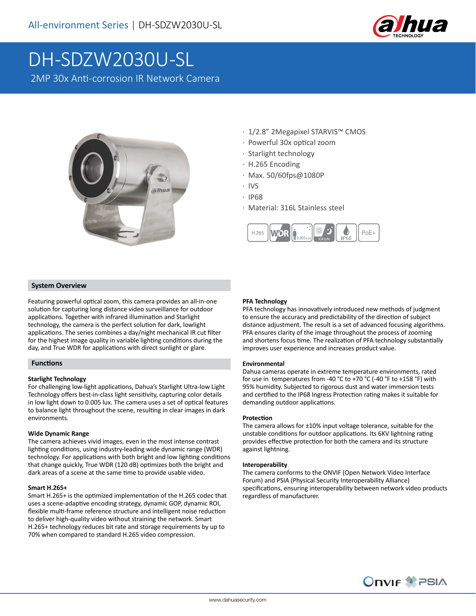

# DH-SDZW2030U-SL

2MP 30x Anti-corrosion IR Network Camera



- · 1/2.8" 2Megapixel STARVIS™ CMOS
- · Powerful 30x optical zoom
- · Starlight technology
- · H.265 Encoding
- · Max. 50/60fps@1080P
- · IVS
- · IP68
- · Material: 316L Stainless steel



## **System Overview**

Featuring powerful optical zoom, this camera provides an all-in-one solution for capturing long distance video surveillance for outdoor applications. Together with infrared illumination and Starlight technology, the camera is the perfect solution for dark, lowlight applications. The series combines a day/night mechanical IR cut filter for the highest image quality in variable lighting conditions during the day, and True WDR for applications with direct sunlight or glare.

## **Functions**

## **Starlight Technology**

For challenging low-light applications, Dahua's Starlight Ultra-low Light Technology offers best-in-class light sensitivity, capturing color details in low light down to 0.005 lux. The camera uses a set of optical features to balance light throughout the scene, resulting in clear images in dark environments.

#### **Wide Dynamic Range**

The camera achieves vivid images, even in the most intense contrast lighting conditions, using industry-leading wide dynamic range (WDR) technology. For applications with both bright and low lighting conditions that change quickly, True WDR (120 dB) optimizes both the bright and dark areas of a scene at the same time to provide usable video.

#### **Smart H.265+**

Smart H.265+ is the optimized implementation of the H.265 codec that uses a scene-adaptive encoding strategy, dynamic GOP, dynamic ROI, flexible multi-frame reference structure and intelligent noise reduction to deliver high-quality video without straining the network. Smart H.265+ technology reduces bit rate and storage requirements by up to 70% when compared to standard H.265 video compression.

#### **PFA Technology**

PFA technology has innovatively introduced new methods of judgment to ensure the accuracy and predictability of the direction of subject distance adjustment. The result is a set of advanced focusing algorithms. PFA ensures clarity of the image throughout the process of zooming and shortens focus time. The realization of PFA technology substantially improves user experience and increases product value.

#### **Environmental**

Dahua cameras operate in extreme temperature environments, rated for use in temperatures from -40 °C to +70 °C (-40 °F to +158 °F) with 95% humidity. Subjected to rigorous dust and water immersion tests and certified to the IP68 Ingress Protection rating makes it suitable for demanding outdoor applications.

#### **Protection**

The camera allows for ±10% input voltage tolerance, suitable for the unstable conditions for outdoor applications. Its 6KV lightning rating provides effective protection for both the camera and its structure against lightning.

#### **Interoperability**

The camera conforms to the ONVIF (Open Network Video Interface Forum) and PSIA (Physical Security Interoperability Alliance) specifications, ensuring interoperability between network video products regardless of manufacturer.

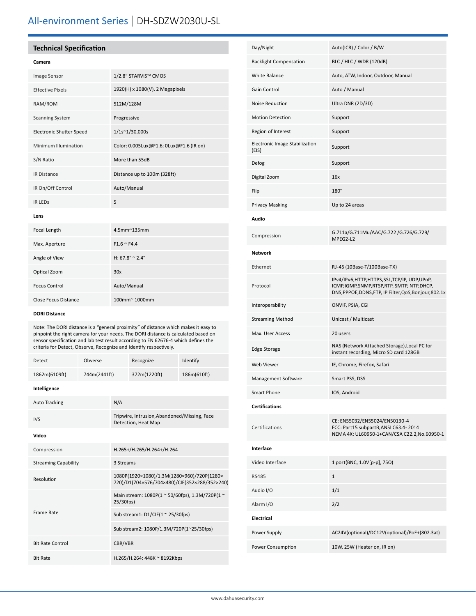# All-environment Series | DH-SDZW2030U-SL

# **Technical Specification**

| <b>Image Sensor</b>             | 1/2.8" STARVIS™ CMOS                    |
|---------------------------------|-----------------------------------------|
| <b>Effective Pixels</b>         | 1920(H) x 1080(V), 2 Megapixels         |
| RAM/ROM                         | 512M/128M                               |
| <b>Scanning System</b>          | Progressive                             |
| <b>Electronic Shutter Speed</b> | 1/1s~1/30,000s                          |
| Minimum Illumination            | Color: 0.005Lux@F1.6; 0Lux@F1.6 (IR on) |
| S/N Ratio                       | More than 55dB                          |
| <b>IR Distance</b>              | Distance up to 100m (328ft)             |
| IR On/Off Control               | Auto/Manual                             |
| <b>IR LEDS</b>                  | 5                                       |
| Lens                            |                                         |
| Focal Length                    | 4.5mm~135mm                             |
| Max. Aperture                   | $F1.6 \approx F4.4$                     |
| Angle of View                   | H: $67.8^{\circ} \approx 2.4^{\circ}$   |
| Optical Zoom                    | 30x                                     |
| <b>Focus Control</b>            | Auto/Manual                             |
| <b>Close Focus Distance</b>     | 100mm~ 1000mm                           |

#### **DORI Distance**

Note: The DORI distance is a "general proximity" of distance which makes it easy to pinpoint the right camera for your needs. The DORI distance is calculated based on sensor specification and lab test result according to EN 62676-4 which defines the criteria for Detect, Observe, Recognize and Identify respectively.

| Detect                      | Obverse                             |                                                                     | Recognize                                                                                   | Identify    |  |
|-----------------------------|-------------------------------------|---------------------------------------------------------------------|---------------------------------------------------------------------------------------------|-------------|--|
| 1862m(6109ft)               | 744m(2441ft)                        |                                                                     | 372m(1220ft)                                                                                | 186m(610ft) |  |
| Intelligence                |                                     |                                                                     |                                                                                             |             |  |
| <b>Auto Tracking</b>        |                                     | N/A                                                                 |                                                                                             |             |  |
| <b>IVS</b>                  |                                     | Tripwire, Intrusion, Abandoned/Missing, Face<br>Detection, Heat Map |                                                                                             |             |  |
| Video                       |                                     |                                                                     |                                                                                             |             |  |
| Compression                 |                                     | H.265+/H.265/H.264+/H.264                                           |                                                                                             |             |  |
| <b>Streaming Capability</b> |                                     | 3 Streams                                                           |                                                                                             |             |  |
| Resolution                  |                                     |                                                                     | 1080P(1920×1080)/1.3M(1280×960)/720P(1280×<br>720)/D1(704×576/704×480)/CIF(352×288/352×240) |             |  |
|                             |                                     | Main stream: 1080P(1 ~ 50/60fps), 1.3M/720P(1 ~<br>25/30fps)        |                                                                                             |             |  |
| <b>Frame Rate</b>           | Sub stream1: $D1/CIF(1 ~ 25/30fps)$ |                                                                     |                                                                                             |             |  |
|                             |                                     | Sub stream2: 1080P/1.3M/720P(1~25/30fps)                            |                                                                                             |             |  |
| <b>Bit Rate Control</b>     |                                     |                                                                     | CBR/VBR                                                                                     |             |  |
| <b>Bit Rate</b>             |                                     |                                                                     | H.265/H.264: 448K ~ 8192Kbps                                                                |             |  |

| Day/Night                               | Auto(ICR) / Color / B/W                                                                                                                               |
|-----------------------------------------|-------------------------------------------------------------------------------------------------------------------------------------------------------|
| <b>Backlight Compensation</b>           | BLC / HLC / WDR (120dB)                                                                                                                               |
| White Balance                           | Auto, ATW, Indoor, Outdoor, Manual                                                                                                                    |
| <b>Gain Control</b>                     | Auto / Manual                                                                                                                                         |
| Noise Reduction                         | Ultra DNR (2D/3D)                                                                                                                                     |
| <b>Motion Detection</b>                 | Support                                                                                                                                               |
| Region of Interest                      | Support                                                                                                                                               |
| Electronic Image Stabilization<br>(EIS) | Support                                                                                                                                               |
| Defog                                   | Support                                                                                                                                               |
| Digital Zoom                            | 16x                                                                                                                                                   |
| Flip                                    | 180°                                                                                                                                                  |
| <b>Privacy Masking</b>                  | Up to 24 areas                                                                                                                                        |
| Audio                                   |                                                                                                                                                       |
| Compression                             | G.711a/G.711Mu/AAC/G.722 /G.726/G.729/<br>MPEG2-L2                                                                                                    |
| <b>Network</b>                          |                                                                                                                                                       |
| Ethernet                                | RJ-45 (10Base-T/100Base-TX)                                                                                                                           |
| Protocol                                | IPv4/IPv6,HTTP,HTTPS,SSL,TCP/IP, UDP,UPnP,<br>ICMP, IGMP, SNMP, RTSP, RTP, SMTP, NTP, DHCP,<br>DNS, PPPOE, DDNS, FTP, IP Filter, QoS, Bonjour, 802.1x |
| Interoperability                        | ONVIF, PSIA, CGI                                                                                                                                      |
| <b>Streaming Method</b>                 | Unicast / Multicast                                                                                                                                   |
| Max. User Access                        | 20 users                                                                                                                                              |
| <b>Edge Storage</b>                     | NAS (Network Attached Storage), Local PC for<br>instant recording, Micro SD card 128GB                                                                |
| <b>Web Viewer</b>                       | IE, Chrome, Firefox, Safari                                                                                                                           |
| Management Software                     | Smart PSS, DSS                                                                                                                                        |
| <b>Smart Phone</b>                      | IOS, Android                                                                                                                                          |
| <b>Certifications</b>                   |                                                                                                                                                       |
| Certifications                          | CE: EN55032/EN55024/EN50130-4<br>FCC: Part15 subpartB, ANSI C63.4-2014<br>NEMA 4X: UL60950-1+CAN/CSA C22.2, No.60950-1                                |
| Interface                               |                                                                                                                                                       |
| Video Interface                         | 1 port(BNC, 1.0V[p-p], 75Ω)                                                                                                                           |
| <b>RS485</b>                            | $\mathbf{1}$                                                                                                                                          |
| Audio I/O                               | 1/1                                                                                                                                                   |
| Alarm I/O                               | 2/2                                                                                                                                                   |
| Electrical                              |                                                                                                                                                       |
| Power Supply                            | AC24V(optional)/DC12V(optional)/PoE+(802.3at)                                                                                                         |
| Power Consumption                       | 10W, 25W (Heater on, IR on)                                                                                                                           |
|                                         |                                                                                                                                                       |